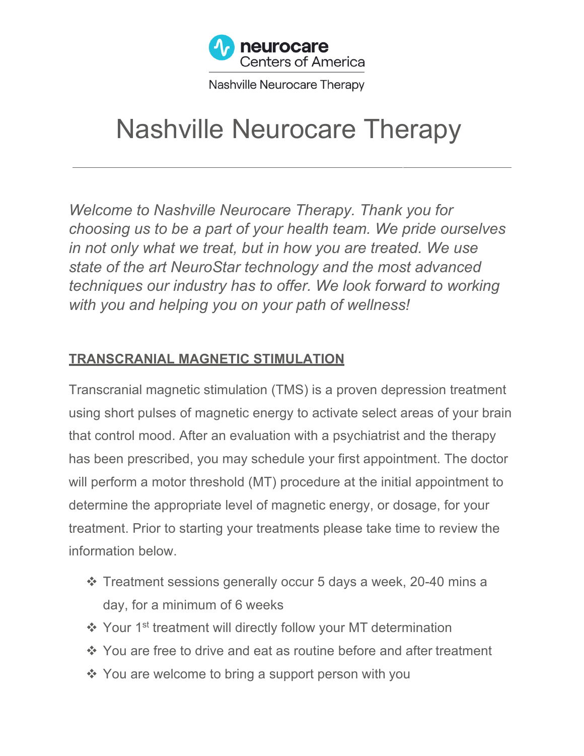

Nashville Neurocare Therapy

# Nashville Neurocare Therapy

*Welcome to Nashville Neurocare Therapy. Thank you for choosing us to be a part of your health team. We pride ourselves in not only what we treat, but in how you are treated. We use state of the art NeuroStar technology and the most advanced techniques our industry has to offer. We look forward to working with you and helping you on your path of wellness!*

#### **TRANSCRANIAL MAGNETIC STIMULATION**

Transcranial magnetic stimulation (TMS) is a proven depression treatment using short pulses of magnetic energy to activate select areas of your brain that control mood. After an evaluation with a psychiatrist and the therapy has been prescribed, you may schedule your first appointment. The doctor will perform a motor threshold (MT) procedure at the initial appointment to determine the appropriate level of magnetic energy, or dosage, for your treatment. Prior to starting your treatments please take time to review the information below.

- v Treatment sessions generally occur 5 days a week, 20-40 mins a day, for a minimum of 6 weeks
- ❖ Your 1<sup>st</sup> treatment will directly follow your MT determination
- ❖ You are free to drive and eat as routine before and after treatment
- $\cdot$  You are welcome to bring a support person with you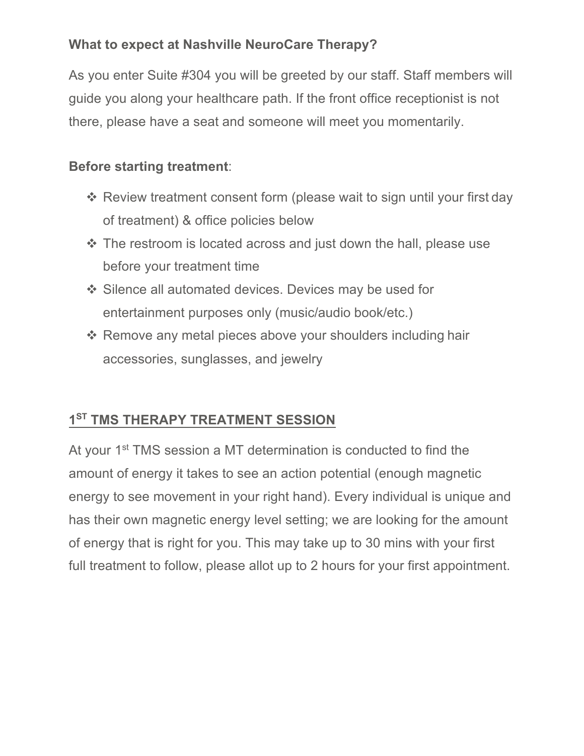#### **What to expect at Nashville NeuroCare Therapy?**

As you enter Suite #304 you will be greeted by our staff. Staff members will guide you along your healthcare path. If the front office receptionist is not there, please have a seat and someone will meet you momentarily.

### **Before starting treatment**:

- $\cdot$  Review treatment consent form (please wait to sign until your first day of treatment) & office policies below
- $\cdot$  The restroom is located across and just down the hall, please use before your treatment time
- v Silence all automated devices. Devices may be used for entertainment purposes only (music/audio book/etc.)
- $\cdot$  Remove any metal pieces above your shoulders including hair accessories, sunglasses, and jewelry

## **1ST TMS THERAPY TREATMENT SESSION**

At your 1<sup>st</sup> TMS session a MT determination is conducted to find the amount of energy it takes to see an action potential (enough magnetic energy to see movement in your right hand). Every individual is unique and has their own magnetic energy level setting; we are looking for the amount of energy that is right for you. This may take up to 30 mins with your first full treatment to follow, please allot up to 2 hours for your first appointment.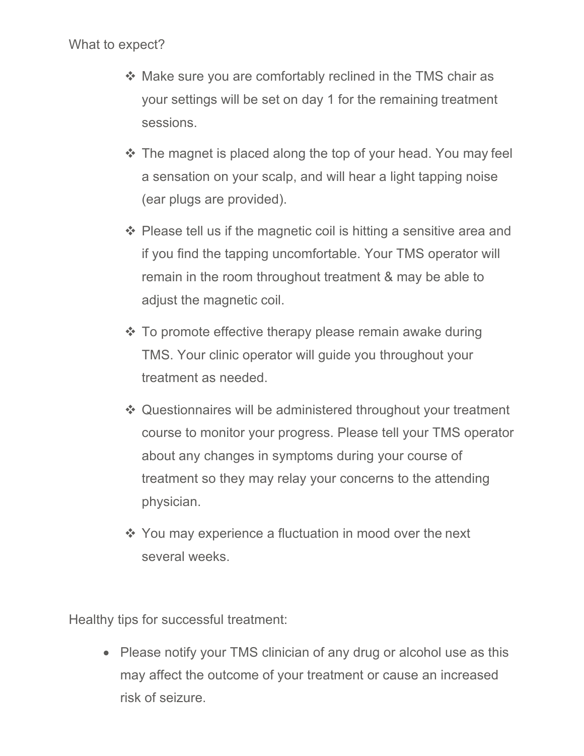#### What to expect?

- $\cdot$  Make sure you are comfortably reclined in the TMS chair as your settings will be set on day 1 for the remaining treatment sessions.
- $\cdot$  The magnet is placed along the top of your head. You may feel a sensation on your scalp, and will hear a light tapping noise (ear plugs are provided).
- $\div$  Please tell us if the magnetic coil is hitting a sensitive area and if you find the tapping uncomfortable. Your TMS operator will remain in the room throughout treatment & may be able to adjust the magnetic coil.
- $\cdot$  To promote effective therapy please remain awake during TMS. Your clinic operator will guide you throughout your treatment as needed.
- ❖ Questionnaires will be administered throughout your treatment course to monitor your progress. Please tell your TMS operator about any changes in symptoms during your course of treatment so they may relay your concerns to the attending physician.
- $\cdot$  You may experience a fluctuation in mood over the next several weeks.

Healthy tips for successful treatment:

• Please notify your TMS clinician of any drug or alcohol use as this may affect the outcome of your treatment or cause an increased risk of seizure.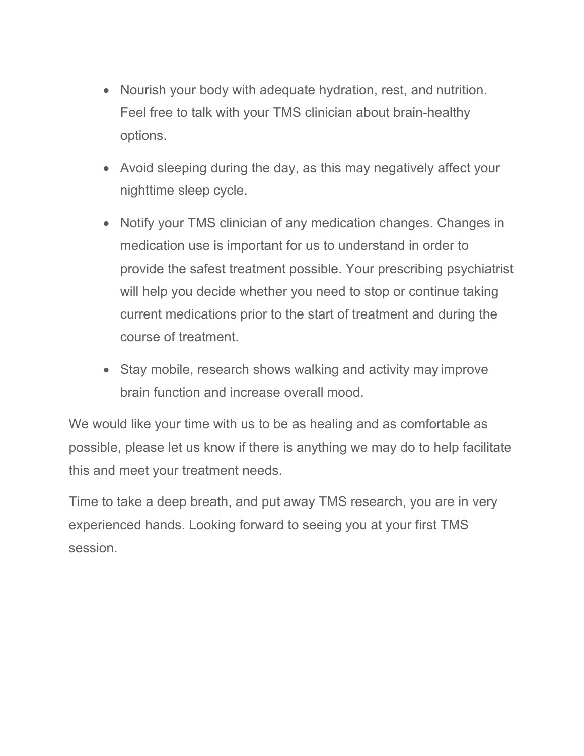- Nourish your body with adequate hydration, rest, and nutrition. Feel free to talk with your TMS clinician about brain-healthy options.
- Avoid sleeping during the day, as this may negatively affect your nighttime sleep cycle.
- Notify your TMS clinician of any medication changes. Changes in medication use is important for us to understand in order to provide the safest treatment possible. Your prescribing psychiatrist will help you decide whether you need to stop or continue taking current medications prior to the start of treatment and during the course of treatment.
- Stay mobile, research shows walking and activity may improve brain function and increase overall mood.

We would like your time with us to be as healing and as comfortable as possible, please let us know if there is anything we may do to help facilitate this and meet your treatment needs.

Time to take a deep breath, and put away TMS research, you are in very experienced hands. Looking forward to seeing you at your first TMS session.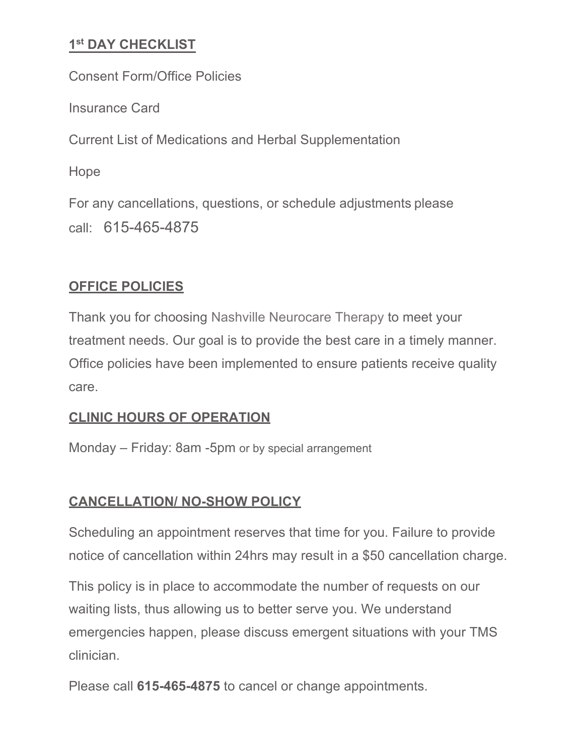#### **1st DAY CHECKLIST**

Consent Form/Office Policies Insurance Card Current List of Medications and Herbal Supplementation Hope For any cancellations, questions, or schedule adjustments please call: 615-465-4875

#### **OFFICE POLICIES**

Thank you for choosing Nashville Neurocare Therapy to meet your treatment needs. Our goal is to provide the best care in a timely manner. Office policies have been implemented to ensure patients receive quality care.

#### **CLINIC HOURS OF OPERATION**

Monday – Friday: 8am -5pm or by special arrangement

#### **CANCELLATION/ NO-SHOW POLICY**

Scheduling an appointment reserves that time for you. Failure to provide notice of cancellation within 24hrs may result in a \$50 cancellation charge.

This policy is in place to accommodate the number of requests on our waiting lists, thus allowing us to better serve you. We understand emergencies happen, please discuss emergent situations with your TMS clinician.

Please call **615-465-4875** to cancel or change appointments.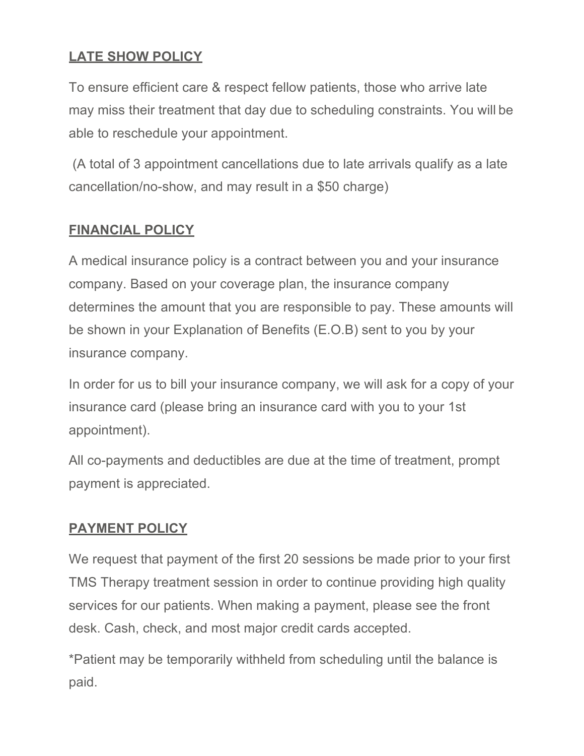#### **LATE SHOW POLICY**

To ensure efficient care & respect fellow patients, those who arrive late may miss their treatment that day due to scheduling constraints. You will be able to reschedule your appointment.

(A total of 3 appointment cancellations due to late arrivals qualify as a late cancellation/no-show, and may result in a \$50 charge)

#### **FINANCIAL POLICY**

A medical insurance policy is a contract between you and your insurance company. Based on your coverage plan, the insurance company determines the amount that you are responsible to pay. These amounts will be shown in your Explanation of Benefits (E.O.B) sent to you by your insurance company.

In order for us to bill your insurance company, we will ask for a copy of your insurance card (please bring an insurance card with you to your 1st appointment).

All co-payments and deductibles are due at the time of treatment, prompt payment is appreciated.

#### **PAYMENT POLICY**

We request that payment of the first 20 sessions be made prior to your first TMS Therapy treatment session in order to continue providing high quality services for our patients. When making a payment, please see the front desk. Cash, check, and most major credit cards accepted.

\*Patient may be temporarily withheld from scheduling until the balance is paid.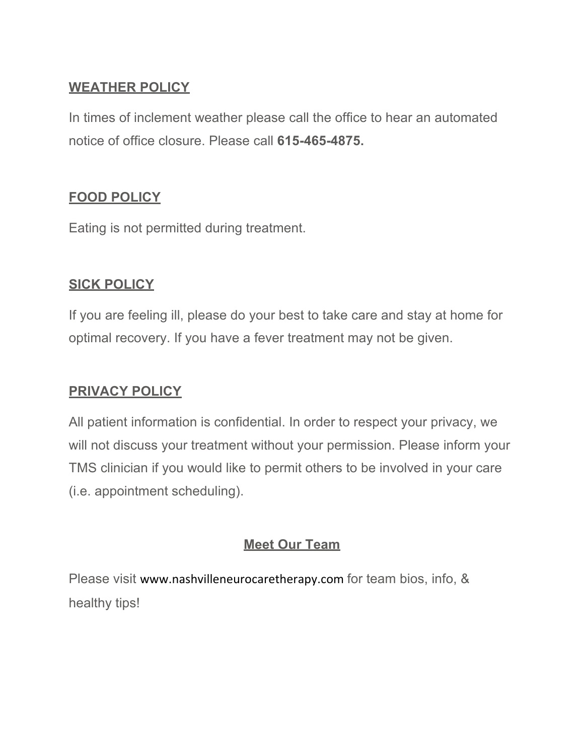#### **WEATHER POLICY**

In times of inclement weather please call the office to hear an automated notice of office closure. Please call **615-465-4875.**

#### **FOOD POLICY**

Eating is not permitted during treatment.

#### **SICK POLICY**

If you are feeling ill, please do your best to take care and stay at home for optimal recovery. If you have a fever treatment may not be given.

#### **PRIVACY POLICY**

All patient information is confidential. In order to respect your privacy, we will not discuss your treatment without your permission. Please inform your TMS clinician if you would like to permit others to be involved in your care (i.e. appointment scheduling).

#### **Meet Our Team**

Please visit www.nashvilleneurocaretherapy.com for team bios, info, & healthy tips!